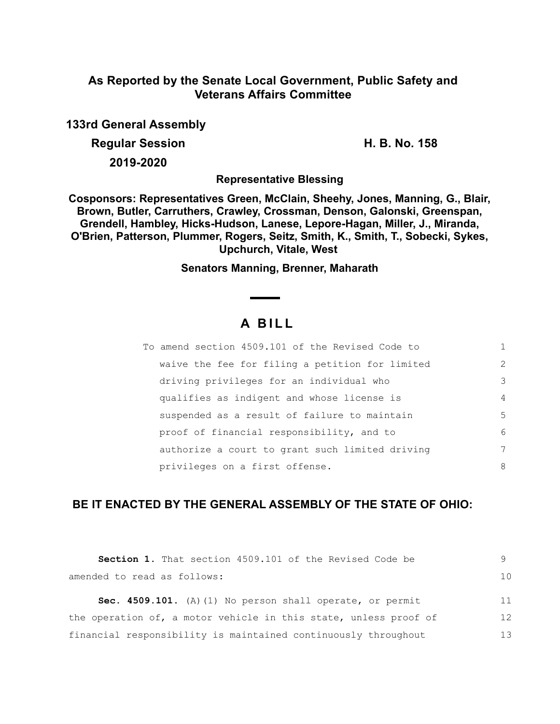## **As Reported by the Senate Local Government, Public Safety and Veterans Affairs Committee**

**133rd General Assembly**

**Regular Session H. B. No. 158**

**2019-2020**

**Representative Blessing**

**Cosponsors: Representatives Green, McClain, Sheehy, Jones, Manning, G., Blair, Brown, Butler, Carruthers, Crawley, Crossman, Denson, Galonski, Greenspan, Grendell, Hambley, Hicks-Hudson, Lanese, Lepore-Hagan, Miller, J., Miranda, O'Brien, Patterson, Plummer, Rogers, Seitz, Smith, K., Smith, T., Sobecki, Sykes, Upchurch, Vitale, West** 

## **Senators Manning, Brenner, Maharath**

# **A B I L L**

| To amend section 4509.101 of the Revised Code to |                |
|--------------------------------------------------|----------------|
| waive the fee for filing a petition for limited  | 2              |
| driving privileges for an individual who         | 3              |
| qualifies as indigent and whose license is       | $\overline{4}$ |
| suspended as a result of failure to maintain     | .5             |
| proof of financial responsibility, and to        | 6              |
| authorize a court to grant such limited driving  | 7              |
| privileges on a first offense.                   | 8              |

## **BE IT ENACTED BY THE GENERAL ASSEMBLY OF THE STATE OF OHIO:**

| <b>Section 1.</b> That section 4509.101 of the Revised Code be   |    |
|------------------------------------------------------------------|----|
| amended to read as follows:                                      |    |
| Sec. 4509.101. (A) (1) No person shall operate, or permit        | 11 |
| the operation of, a motor vehicle in this state, unless proof of | 12 |
| financial responsibility is maintained continuously throughout   | 13 |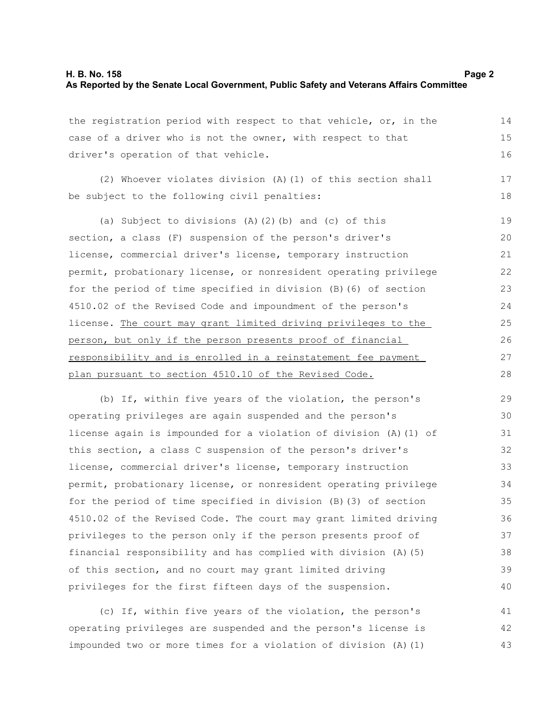#### **H. B. No. 158 Page 2 As Reported by the Senate Local Government, Public Safety and Veterans Affairs Committee**

the registration period with respect to that vehicle, or, in the case of a driver who is not the owner, with respect to that driver's operation of that vehicle. (2) Whoever violates division (A)(1) of this section shall be subject to the following civil penalties: (a) Subject to divisions (A)(2)(b) and (c) of this section, a class (F) suspension of the person's driver's license, commercial driver's license, temporary instruction permit, probationary license, or nonresident operating privilege for the period of time specified in division (B)(6) of section 4510.02 of the Revised Code and impoundment of the person's license. The court may grant limited driving privileges to the person, but only if the person presents proof of financial responsibility and is enrolled in a reinstatement fee payment plan pursuant to section 4510.10 of the Revised Code. 14 15 16 17 18 19 20 21 22 23 24 25 26 27 28

(b) If, within five years of the violation, the person's operating privileges are again suspended and the person's license again is impounded for a violation of division (A)(1) of this section, a class C suspension of the person's driver's license, commercial driver's license, temporary instruction permit, probationary license, or nonresident operating privilege for the period of time specified in division (B)(3) of section 4510.02 of the Revised Code. The court may grant limited driving privileges to the person only if the person presents proof of financial responsibility and has complied with division (A)(5) of this section, and no court may grant limited driving privileges for the first fifteen days of the suspension. 29 30 31 32 33 34 35 36 37 38 39 40

(c) If, within five years of the violation, the person's operating privileges are suspended and the person's license is impounded two or more times for a violation of division (A)(1) 41 42 43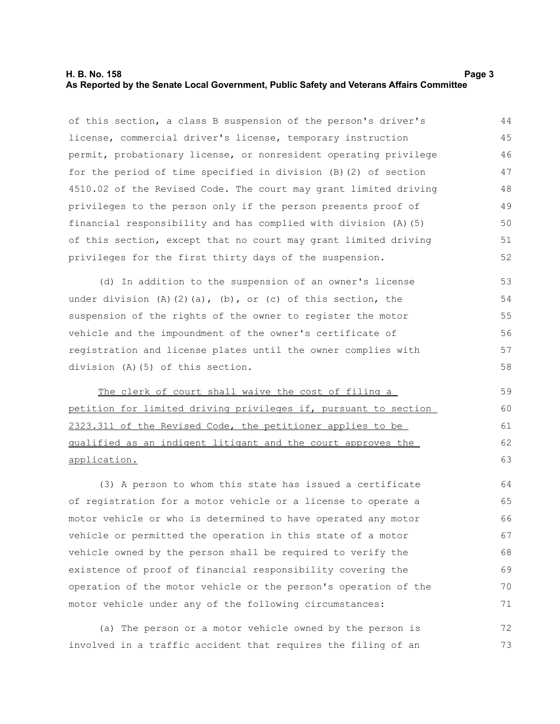#### **H. B. No. 158 Page 3 As Reported by the Senate Local Government, Public Safety and Veterans Affairs Committee**

of this section, a class B suspension of the person's driver's license, commercial driver's license, temporary instruction permit, probationary license, or nonresident operating privilege for the period of time specified in division (B)(2) of section 4510.02 of the Revised Code. The court may grant limited driving privileges to the person only if the person presents proof of financial responsibility and has complied with division (A)(5) of this section, except that no court may grant limited driving privileges for the first thirty days of the suspension. 44 45 46 47 48 49 50 51 52

(d) In addition to the suspension of an owner's license under division (A)(2)(a), (b), or (c) of this section, the suspension of the rights of the owner to register the motor vehicle and the impoundment of the owner's certificate of registration and license plates until the owner complies with division (A)(5) of this section. 53 54 55 56 57 58

The clerk of court shall waive the cost of filing a petition for limited driving privileges if, pursuant to section 2323.311 of the Revised Code, the petitioner applies to be qualified as an indigent litigant and the court approves the application.

(3) A person to whom this state has issued a certificate of registration for a motor vehicle or a license to operate a motor vehicle or who is determined to have operated any motor vehicle or permitted the operation in this state of a motor vehicle owned by the person shall be required to verify the existence of proof of financial responsibility covering the operation of the motor vehicle or the person's operation of the motor vehicle under any of the following circumstances: 64 65 66 67 68 69 70 71

(a) The person or a motor vehicle owned by the person is involved in a traffic accident that requires the filing of an 72 73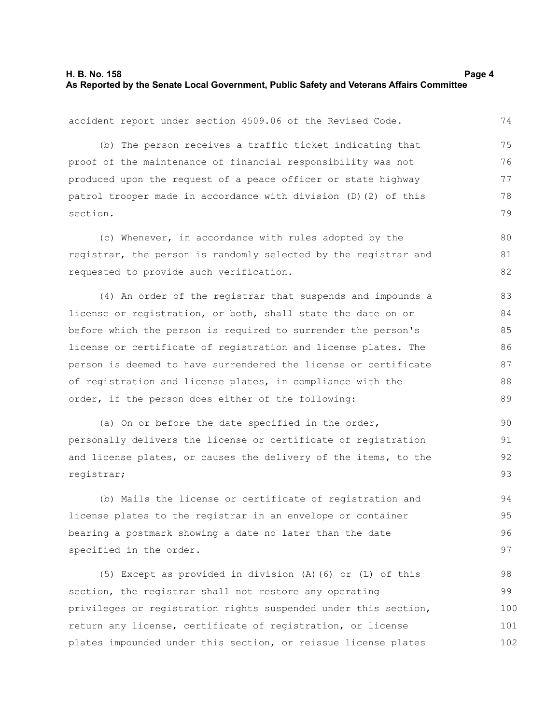#### **H. B. No. 158 Page 4 As Reported by the Senate Local Government, Public Safety and Veterans Affairs Committee**

| accident report under section 4509.06 of the Revised Code.      | 74 |
|-----------------------------------------------------------------|----|
| (b) The person receives a traffic ticket indicating that        | 75 |
| proof of the maintenance of financial responsibility was not    | 76 |
| produced upon the request of a peace officer or state highway   | 77 |
| patrol trooper made in accordance with division (D) (2) of this | 78 |
| section.                                                        | 79 |
| (c) Whenever, in accordance with rules adopted by the           | 80 |
| registrar, the person is randomly selected by the registrar and | 81 |
| requested to provide such verification.                         | 82 |
| (4) An order of the registrar that suspends and impounds a      | 83 |
| license or registration, or both, shall state the date on or    | 84 |
| before which the person is required to surrender the person's   | 85 |
| license or certificate of registration and license plates. The  | 86 |
| person is deemed to have surrendered the license or certificate | 87 |
| of registration and license plates, in compliance with the      | 88 |
| order, if the person does either of the following:              | 89 |
| (a) On or before the date specified in the order,               | 90 |
| personally delivers the license or certificate of registration  | 91 |
| and license plates, or causes the delivery of the items, to the | 92 |

(b) Mails the license or certificate of registration and license plates to the registrar in an envelope or container bearing a postmark showing a date no later than the date specified in the order. 94 95 96 97

93

registrar;

(5) Except as provided in division (A)(6) or (L) of this section, the registrar shall not restore any operating privileges or registration rights suspended under this section, return any license, certificate of registration, or license plates impounded under this section, or reissue license plates 98 99 100 101 102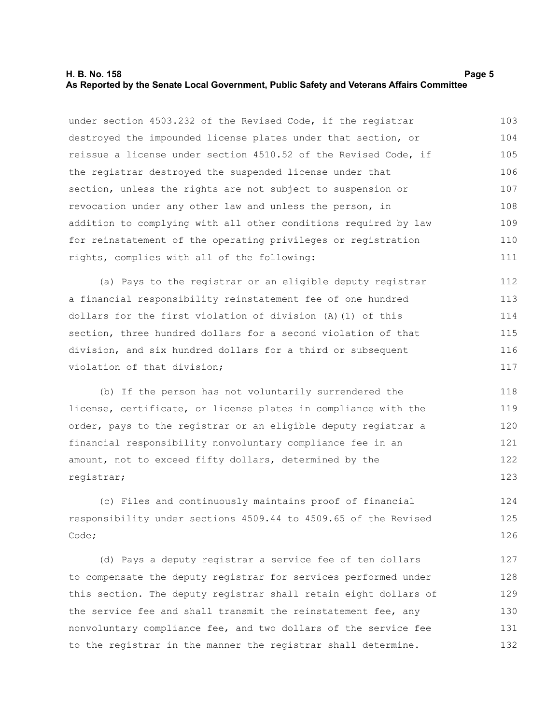#### **H. B. No. 158 Page 5 As Reported by the Senate Local Government, Public Safety and Veterans Affairs Committee**

under section 4503.232 of the Revised Code, if the registrar destroyed the impounded license plates under that section, or reissue a license under section 4510.52 of the Revised Code, if the registrar destroyed the suspended license under that section, unless the rights are not subject to suspension or revocation under any other law and unless the person, in addition to complying with all other conditions required by law for reinstatement of the operating privileges or registration rights, complies with all of the following: 103 104 105 106 107 108 109 110 111

(a) Pays to the registrar or an eligible deputy registrar a financial responsibility reinstatement fee of one hundred dollars for the first violation of division (A)(1) of this section, three hundred dollars for a second violation of that division, and six hundred dollars for a third or subsequent violation of that division; 112 113 114 115 116 117

(b) If the person has not voluntarily surrendered the license, certificate, or license plates in compliance with the order, pays to the registrar or an eligible deputy registrar a financial responsibility nonvoluntary compliance fee in an amount, not to exceed fifty dollars, determined by the registrar; 118 119 120 121 122 123

(c) Files and continuously maintains proof of financial responsibility under sections 4509.44 to 4509.65 of the Revised Code; 124 125 126

(d) Pays a deputy registrar a service fee of ten dollars to compensate the deputy registrar for services performed under this section. The deputy registrar shall retain eight dollars of the service fee and shall transmit the reinstatement fee, any nonvoluntary compliance fee, and two dollars of the service fee to the registrar in the manner the registrar shall determine. 127 128 129 130 131 132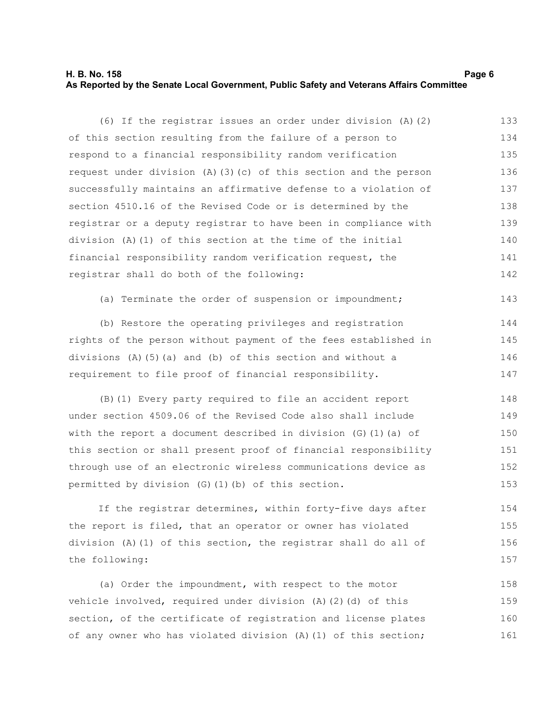#### **H. B. No. 158 Page 6 As Reported by the Senate Local Government, Public Safety and Veterans Affairs Committee**

(6) If the registrar issues an order under division (A)(2) of this section resulting from the failure of a person to respond to a financial responsibility random verification request under division  $(A)(3)(c)$  of this section and the person successfully maintains an affirmative defense to a violation of section 4510.16 of the Revised Code or is determined by the registrar or a deputy registrar to have been in compliance with division (A)(1) of this section at the time of the initial financial responsibility random verification request, the registrar shall do both of the following: 133 134 135 136 137 138 139 140 141 142

(a) Terminate the order of suspension or impoundment;

143

(b) Restore the operating privileges and registration rights of the person without payment of the fees established in divisions (A)(5)(a) and (b) of this section and without a requirement to file proof of financial responsibility. 144 145 146 147

(B)(1) Every party required to file an accident report under section 4509.06 of the Revised Code also shall include with the report a document described in division  $(G)$  (1)(a) of this section or shall present proof of financial responsibility through use of an electronic wireless communications device as permitted by division (G)(1)(b) of this section. 148 149 150 151 152 153

If the registrar determines, within forty-five days after the report is filed, that an operator or owner has violated division (A)(1) of this section, the registrar shall do all of the following: 154 155 156 157

(a) Order the impoundment, with respect to the motor vehicle involved, required under division (A)(2)(d) of this section, of the certificate of registration and license plates of any owner who has violated division (A)(1) of this section; 158 159 160 161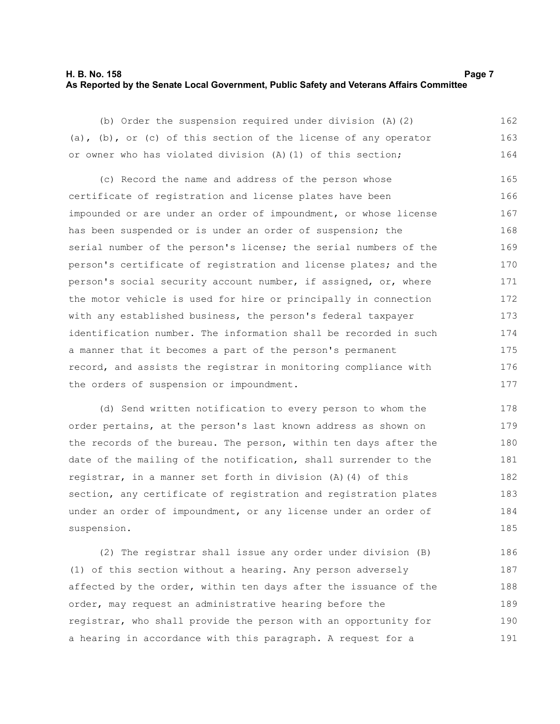#### **H. B. No. 158 Page 7 As Reported by the Senate Local Government, Public Safety and Veterans Affairs Committee**

(b) Order the suspension required under division (A)(2) (a), (b), or (c) of this section of the license of any operator or owner who has violated division (A)(1) of this section; 162 163 164

(c) Record the name and address of the person whose certificate of registration and license plates have been impounded or are under an order of impoundment, or whose license has been suspended or is under an order of suspension; the serial number of the person's license; the serial numbers of the person's certificate of registration and license plates; and the person's social security account number, if assigned, or, where the motor vehicle is used for hire or principally in connection with any established business, the person's federal taxpayer identification number. The information shall be recorded in such a manner that it becomes a part of the person's permanent record, and assists the registrar in monitoring compliance with the orders of suspension or impoundment. 165 166 167 168 169 170 171 172 173 174 175 176 177

(d) Send written notification to every person to whom the order pertains, at the person's last known address as shown on the records of the bureau. The person, within ten days after the date of the mailing of the notification, shall surrender to the registrar, in a manner set forth in division (A)(4) of this section, any certificate of registration and registration plates under an order of impoundment, or any license under an order of suspension. 178 179 180 181 182 183 184 185

(2) The registrar shall issue any order under division (B) (1) of this section without a hearing. Any person adversely affected by the order, within ten days after the issuance of the order, may request an administrative hearing before the registrar, who shall provide the person with an opportunity for a hearing in accordance with this paragraph. A request for a 186 187 188 189 190 191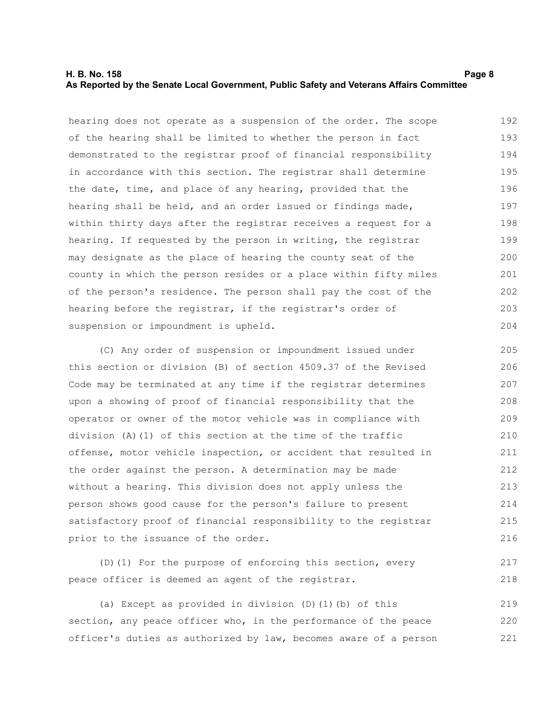#### **H. B. No. 158 Page 8 As Reported by the Senate Local Government, Public Safety and Veterans Affairs Committee**

hearing does not operate as a suspension of the order. The scope of the hearing shall be limited to whether the person in fact demonstrated to the registrar proof of financial responsibility in accordance with this section. The registrar shall determine the date, time, and place of any hearing, provided that the hearing shall be held, and an order issued or findings made, within thirty days after the registrar receives a request for a hearing. If requested by the person in writing, the registrar may designate as the place of hearing the county seat of the county in which the person resides or a place within fifty miles of the person's residence. The person shall pay the cost of the hearing before the registrar, if the registrar's order of suspension or impoundment is upheld. 192 193 194 195 196 197 198 199 200 201 202 203 204

(C) Any order of suspension or impoundment issued under this section or division (B) of section 4509.37 of the Revised Code may be terminated at any time if the registrar determines upon a showing of proof of financial responsibility that the operator or owner of the motor vehicle was in compliance with division (A)(1) of this section at the time of the traffic offense, motor vehicle inspection, or accident that resulted in the order against the person. A determination may be made without a hearing. This division does not apply unless the person shows good cause for the person's failure to present satisfactory proof of financial responsibility to the registrar prior to the issuance of the order. 205 206 207 208 209 210 211 212 213 214 215 216

(D)(1) For the purpose of enforcing this section, every peace officer is deemed an agent of the registrar. 217 218

(a) Except as provided in division (D)(1)(b) of this section, any peace officer who, in the performance of the peace officer's duties as authorized by law, becomes aware of a person 219 220 221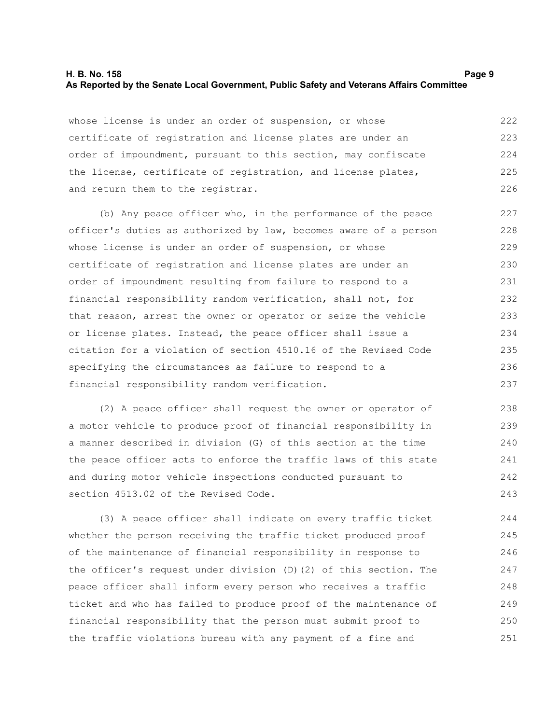#### **H. B. No. 158 Page 9 As Reported by the Senate Local Government, Public Safety and Veterans Affairs Committee**

whose license is under an order of suspension, or whose certificate of registration and license plates are under an order of impoundment, pursuant to this section, may confiscate the license, certificate of registration, and license plates, and return them to the registrar. 222 223 224 225 226

(b) Any peace officer who, in the performance of the peace officer's duties as authorized by law, becomes aware of a person whose license is under an order of suspension, or whose certificate of registration and license plates are under an order of impoundment resulting from failure to respond to a financial responsibility random verification, shall not, for that reason, arrest the owner or operator or seize the vehicle or license plates. Instead, the peace officer shall issue a citation for a violation of section 4510.16 of the Revised Code specifying the circumstances as failure to respond to a financial responsibility random verification. 227 228 229 230 231 232 233 234 235 236 237

(2) A peace officer shall request the owner or operator of a motor vehicle to produce proof of financial responsibility in a manner described in division (G) of this section at the time the peace officer acts to enforce the traffic laws of this state and during motor vehicle inspections conducted pursuant to section 4513.02 of the Revised Code. 238 239 240 241 242 243

(3) A peace officer shall indicate on every traffic ticket whether the person receiving the traffic ticket produced proof of the maintenance of financial responsibility in response to the officer's request under division (D)(2) of this section. The peace officer shall inform every person who receives a traffic ticket and who has failed to produce proof of the maintenance of financial responsibility that the person must submit proof to the traffic violations bureau with any payment of a fine and 244 245 246 247 248 249 250 251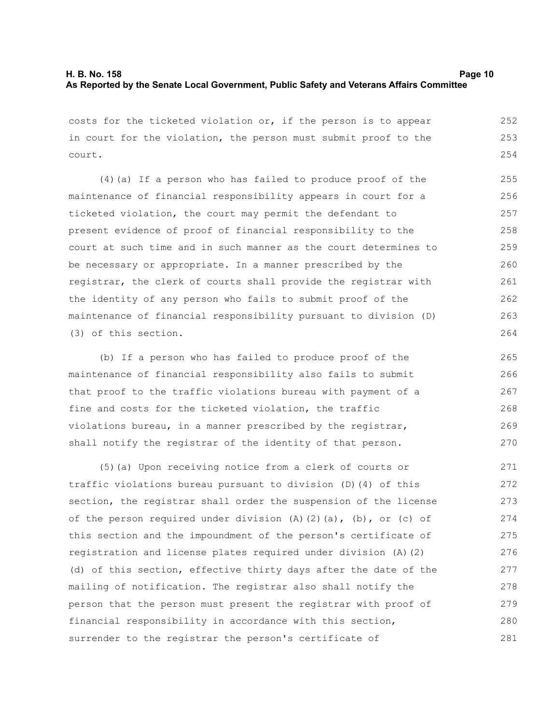costs for the ticketed violation or, if the person is to appear in court for the violation, the person must submit proof to the court. 252 253 254

(4)(a) If a person who has failed to produce proof of the maintenance of financial responsibility appears in court for a ticketed violation, the court may permit the defendant to present evidence of proof of financial responsibility to the court at such time and in such manner as the court determines to be necessary or appropriate. In a manner prescribed by the registrar, the clerk of courts shall provide the registrar with the identity of any person who fails to submit proof of the maintenance of financial responsibility pursuant to division (D) (3) of this section. 255 256 257 258 259 260 261 262 263 264

(b) If a person who has failed to produce proof of the maintenance of financial responsibility also fails to submit that proof to the traffic violations bureau with payment of a fine and costs for the ticketed violation, the traffic violations bureau, in a manner prescribed by the registrar, shall notify the registrar of the identity of that person. 265 266 267 268 269 270

(5)(a) Upon receiving notice from a clerk of courts or traffic violations bureau pursuant to division (D)(4) of this section, the registrar shall order the suspension of the license of the person required under division  $(A)$   $(2)$   $(a)$ ,  $(b)$ , or  $(c)$  of this section and the impoundment of the person's certificate of registration and license plates required under division (A)(2) (d) of this section, effective thirty days after the date of the mailing of notification. The registrar also shall notify the person that the person must present the registrar with proof of financial responsibility in accordance with this section, surrender to the registrar the person's certificate of 271 272 273 274 275 276 277 278 279 280 281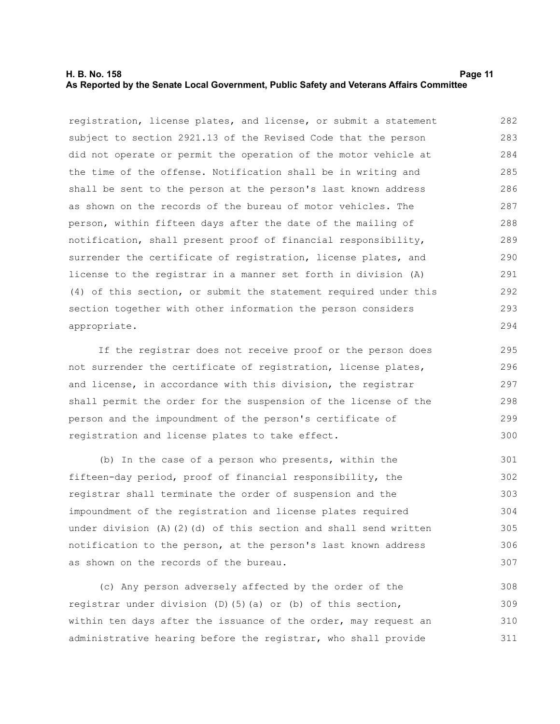#### **H. B. No. 158 Page 11 As Reported by the Senate Local Government, Public Safety and Veterans Affairs Committee**

registration, license plates, and license, or submit a statement subject to section 2921.13 of the Revised Code that the person did not operate or permit the operation of the motor vehicle at the time of the offense. Notification shall be in writing and shall be sent to the person at the person's last known address as shown on the records of the bureau of motor vehicles. The person, within fifteen days after the date of the mailing of notification, shall present proof of financial responsibility, surrender the certificate of registration, license plates, and license to the registrar in a manner set forth in division (A) (4) of this section, or submit the statement required under this section together with other information the person considers appropriate. 282 283 284 285 286 287 288 289 290 291 292 293 294

If the registrar does not receive proof or the person does not surrender the certificate of registration, license plates, and license, in accordance with this division, the registrar shall permit the order for the suspension of the license of the person and the impoundment of the person's certificate of registration and license plates to take effect.

(b) In the case of a person who presents, within the fifteen-day period, proof of financial responsibility, the registrar shall terminate the order of suspension and the impoundment of the registration and license plates required under division  $(A)$   $(2)$   $(d)$  of this section and shall send written notification to the person, at the person's last known address as shown on the records of the bureau. 301 302 303 304 305 306 307

(c) Any person adversely affected by the order of the registrar under division (D)(5)(a) or (b) of this section, within ten days after the issuance of the order, may request an administrative hearing before the registrar, who shall provide 308 309 310 311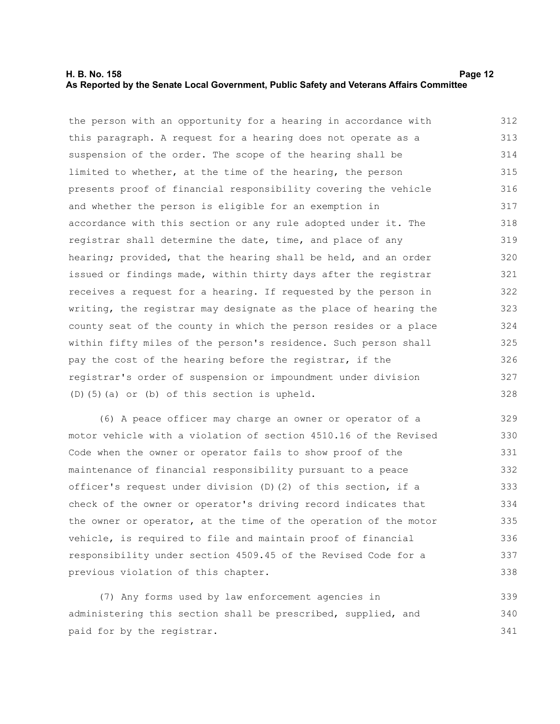#### **H. B. No. 158 Page 12 As Reported by the Senate Local Government, Public Safety and Veterans Affairs Committee**

the person with an opportunity for a hearing in accordance with this paragraph. A request for a hearing does not operate as a suspension of the order. The scope of the hearing shall be limited to whether, at the time of the hearing, the person presents proof of financial responsibility covering the vehicle and whether the person is eligible for an exemption in accordance with this section or any rule adopted under it. The registrar shall determine the date, time, and place of any hearing; provided, that the hearing shall be held, and an order issued or findings made, within thirty days after the registrar receives a request for a hearing. If requested by the person in writing, the registrar may designate as the place of hearing the county seat of the county in which the person resides or a place within fifty miles of the person's residence. Such person shall pay the cost of the hearing before the registrar, if the registrar's order of suspension or impoundment under division (D)(5)(a) or (b) of this section is upheld. 312 313 314 315 316 317 318 319 320 321 322 323 324 325 326 327 328

(6) A peace officer may charge an owner or operator of a motor vehicle with a violation of section 4510.16 of the Revised Code when the owner or operator fails to show proof of the maintenance of financial responsibility pursuant to a peace officer's request under division (D)(2) of this section, if a check of the owner or operator's driving record indicates that the owner or operator, at the time of the operation of the motor vehicle, is required to file and maintain proof of financial responsibility under section 4509.45 of the Revised Code for a previous violation of this chapter. 329 330 331 332 333 334 335 336 337 338

(7) Any forms used by law enforcement agencies in administering this section shall be prescribed, supplied, and paid for by the registrar. 339 340 341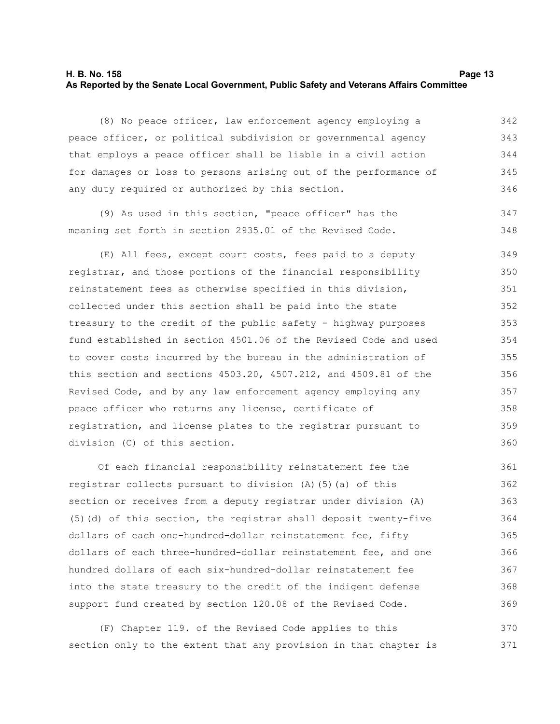#### **H. B. No. 158 Page 13 As Reported by the Senate Local Government, Public Safety and Veterans Affairs Committee**

(8) No peace officer, law enforcement agency employing a peace officer, or political subdivision or governmental agency that employs a peace officer shall be liable in a civil action for damages or loss to persons arising out of the performance of any duty required or authorized by this section. 342 343 344 345 346

(9) As used in this section, "peace officer" has the meaning set forth in section 2935.01 of the Revised Code. 347 348

(E) All fees, except court costs, fees paid to a deputy registrar, and those portions of the financial responsibility reinstatement fees as otherwise specified in this division, collected under this section shall be paid into the state treasury to the credit of the public safety - highway purposes fund established in section 4501.06 of the Revised Code and used to cover costs incurred by the bureau in the administration of this section and sections 4503.20, 4507.212, and 4509.81 of the Revised Code, and by any law enforcement agency employing any peace officer who returns any license, certificate of registration, and license plates to the registrar pursuant to division (C) of this section. 349 350 351 352 353 354 355 356 357 358 359 360

Of each financial responsibility reinstatement fee the registrar collects pursuant to division (A)(5)(a) of this section or receives from a deputy registrar under division (A) (5)(d) of this section, the registrar shall deposit twenty-five dollars of each one-hundred-dollar reinstatement fee, fifty dollars of each three-hundred-dollar reinstatement fee, and one hundred dollars of each six-hundred-dollar reinstatement fee into the state treasury to the credit of the indigent defense support fund created by section 120.08 of the Revised Code. 361 362 363 364 365 366 367 368 369

(F) Chapter 119. of the Revised Code applies to this section only to the extent that any provision in that chapter is 370 371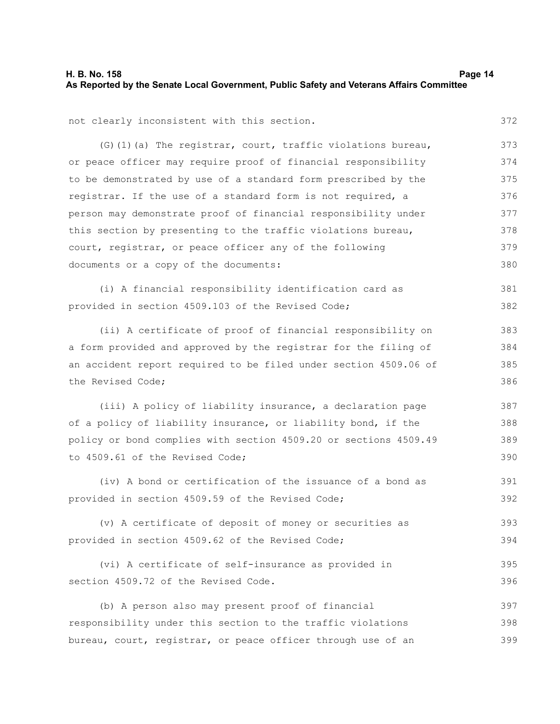### **H. B. No. 158 Page 14 As Reported by the Senate Local Government, Public Safety and Veterans Affairs Committee**

| not clearly inconsistent with this section.                      | 372 |
|------------------------------------------------------------------|-----|
| (G) (1) (a) The registrar, court, traffic violations bureau,     | 373 |
| or peace officer may require proof of financial responsibility   | 374 |
| to be demonstrated by use of a standard form prescribed by the   | 375 |
| registrar. If the use of a standard form is not required, a      | 376 |
| person may demonstrate proof of financial responsibility under   | 377 |
| this section by presenting to the traffic violations bureau,     | 378 |
| court, registrar, or peace officer any of the following          | 379 |
| documents or a copy of the documents:                            | 380 |
| (i) A financial responsibility identification card as            | 381 |
| provided in section 4509.103 of the Revised Code;                | 382 |
| (ii) A certificate of proof of financial responsibility on       | 383 |
| a form provided and approved by the registrar for the filing of  | 384 |
| an accident report required to be filed under section 4509.06 of | 385 |
| the Revised Code;                                                |     |
| (iii) A policy of liability insurance, a declaration page        | 387 |
| of a policy of liability insurance, or liability bond, if the    | 388 |
| policy or bond complies with section 4509.20 or sections 4509.49 | 389 |
| to 4509.61 of the Revised Code;                                  | 390 |
| (iv) A bond or certification of the issuance of a bond as        | 391 |
| provided in section 4509.59 of the Revised Code;                 | 392 |
| (v) A certificate of deposit of money or securities as           | 393 |
| provided in section 4509.62 of the Revised Code;                 | 394 |
| (vi) A certificate of self-insurance as provided in              | 395 |
| section 4509.72 of the Revised Code.                             | 396 |

(b) A person also may present proof of financial responsibility under this section to the traffic violations bureau, court, registrar, or peace officer through use of an 397 398 399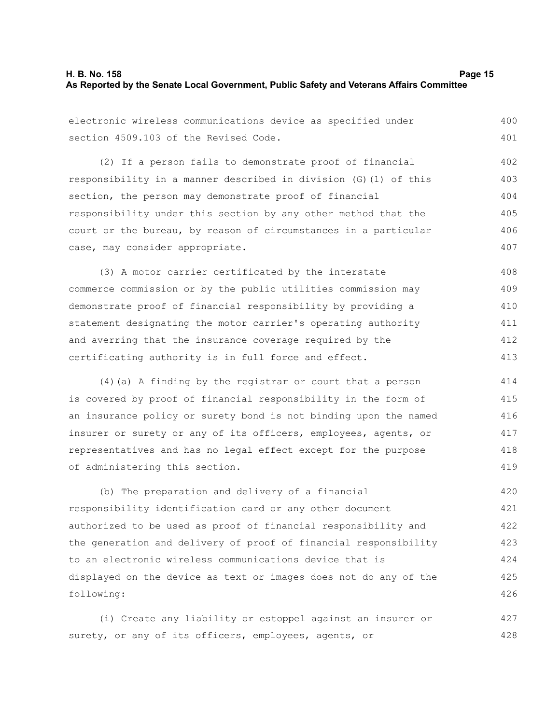## **H. B. No. 158 Page 15 As Reported by the Senate Local Government, Public Safety and Veterans Affairs Committee**

| electronic wireless communications device as specified under     |     |
|------------------------------------------------------------------|-----|
| section 4509.103 of the Revised Code.                            | 401 |
| (2) If a person fails to demonstrate proof of financial          | 402 |
| responsibility in a manner described in division (G) (1) of this |     |
| section, the person may demonstrate proof of financial           |     |
| responsibility under this section by any other method that the   |     |
| court or the bureau, by reason of circumstances in a particular  |     |
| case, may consider appropriate.                                  | 407 |
| (3) A motor carrier certificated by the interstate               | 408 |
| commerce commission or by the public utilities commission may    | 409 |
| demonstrate proof of financial responsibility by providing a     | 410 |
| statement designating the motor carrier's operating authority    | 411 |
| and averring that the insurance coverage required by the         | 412 |
| certificating authority is in full force and effect.             | 413 |
| (4) (a) A finding by the registrar or court that a person        | 414 |
| is covered by proof of financial responsibility in the form of   |     |
| an insurance policy or surety bond is not binding upon the named |     |
| insurer or surety or any of its officers, employees, agents, or  |     |
| representatives and has no legal effect except for the purpose   |     |
| of administering this section.                                   | 419 |
| (b) The preparation and delivery of a financial                  | 420 |
| responsibility identification card or any other document         | 421 |
| authorized to be used as proof of financial responsibility and   | 422 |
| the generation and delivery of proof of financial responsibility | 423 |
| to an electronic wireless communications device that is          | 424 |
| displayed on the device as text or images does not do any of the |     |
| following:                                                       | 426 |
| (i) Create any liability or estoppel against an insurer or       | 427 |

surety, or any of its officers, employees, agents, or 428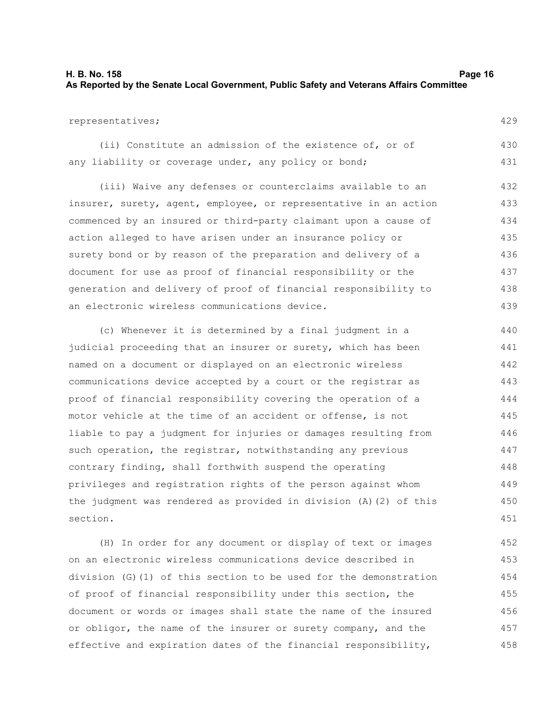#### **H. B. No. 158 Page 16 As Reported by the Senate Local Government, Public Safety and Veterans Affairs Committee**

#### representatives;

(ii) Constitute an admission of the existence of, or of any liability or coverage under, any policy or bond; 430 431

429

(iii) Waive any defenses or counterclaims available to an insurer, surety, agent, employee, or representative in an action commenced by an insured or third-party claimant upon a cause of action alleged to have arisen under an insurance policy or surety bond or by reason of the preparation and delivery of a document for use as proof of financial responsibility or the generation and delivery of proof of financial responsibility to an electronic wireless communications device. 432 433 434 435 436 437 438 439

(c) Whenever it is determined by a final judgment in a judicial proceeding that an insurer or surety, which has been named on a document or displayed on an electronic wireless communications device accepted by a court or the registrar as proof of financial responsibility covering the operation of a motor vehicle at the time of an accident or offense, is not liable to pay a judgment for injuries or damages resulting from such operation, the registrar, notwithstanding any previous contrary finding, shall forthwith suspend the operating privileges and registration rights of the person against whom the judgment was rendered as provided in division (A)(2) of this section. 440 441 442 443 444 445 446 447 448 449 450 451

(H) In order for any document or display of text or images on an electronic wireless communications device described in division (G)(1) of this section to be used for the demonstration of proof of financial responsibility under this section, the document or words or images shall state the name of the insured or obligor, the name of the insurer or surety company, and the effective and expiration dates of the financial responsibility, 452 453 454 455 456 457 458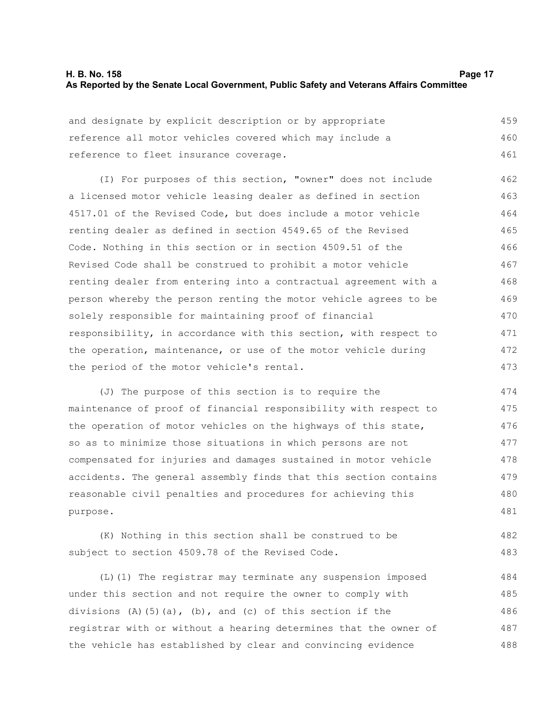#### **H. B. No. 158 Page 17 As Reported by the Senate Local Government, Public Safety and Veterans Affairs Committee**

| and designate by explicit description or by appropriate  | 459 |
|----------------------------------------------------------|-----|
| reference all motor vehicles covered which may include a | 460 |
| reference to fleet insurance coverage.                   | 461 |

(I) For purposes of this section, "owner" does not include a licensed motor vehicle leasing dealer as defined in section 4517.01 of the Revised Code, but does include a motor vehicle renting dealer as defined in section 4549.65 of the Revised Code. Nothing in this section or in section 4509.51 of the Revised Code shall be construed to prohibit a motor vehicle renting dealer from entering into a contractual agreement with a person whereby the person renting the motor vehicle agrees to be solely responsible for maintaining proof of financial responsibility, in accordance with this section, with respect to the operation, maintenance, or use of the motor vehicle during the period of the motor vehicle's rental. 462 463 464 465 466 467 468 469 470 471 472 473

(J) The purpose of this section is to require the maintenance of proof of financial responsibility with respect to the operation of motor vehicles on the highways of this state, so as to minimize those situations in which persons are not compensated for injuries and damages sustained in motor vehicle accidents. The general assembly finds that this section contains reasonable civil penalties and procedures for achieving this purpose. 474 475 476 477 478 479 480 481

(K) Nothing in this section shall be construed to be subject to section 4509.78 of the Revised Code. 482 483

(L)(1) The registrar may terminate any suspension imposed under this section and not require the owner to comply with divisions  $(A)$  (5)(a), (b), and (c) of this section if the registrar with or without a hearing determines that the owner of the vehicle has established by clear and convincing evidence 484 485 486 487 488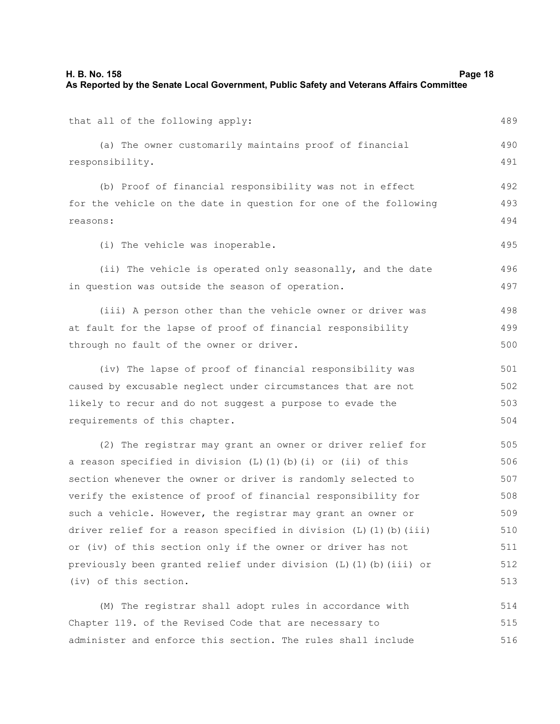| that all of the following apply:                                 | 489 |
|------------------------------------------------------------------|-----|
| (a) The owner customarily maintains proof of financial           | 490 |
| responsibility.                                                  | 491 |
| (b) Proof of financial responsibility was not in effect          | 492 |
| for the vehicle on the date in question for one of the following | 493 |
| reasons:                                                         | 494 |
| (i) The vehicle was inoperable.                                  | 495 |
| (ii) The vehicle is operated only seasonally, and the date       | 496 |
| in question was outside the season of operation.                 | 497 |
| (iii) A person other than the vehicle owner or driver was        | 498 |
| at fault for the lapse of proof of financial responsibility      | 499 |
| through no fault of the owner or driver.                         | 500 |
| (iv) The lapse of proof of financial responsibility was          | 501 |
| caused by excusable neglect under circumstances that are not     | 502 |
| likely to recur and do not suggest a purpose to evade the        | 503 |
| requirements of this chapter.                                    | 504 |
| (2) The registrar may grant an owner or driver relief for        | 505 |
| a reason specified in division (L)(1)(b)(i) or (ii) of this      | 506 |
| section whenever the owner or driver is randomly selected to     | 507 |
| verify the existence of proof of financial responsibility for    | 508 |
| such a vehicle. However, the registrar may grant an owner or     | 509 |
| driver relief for a reason specified in division (L)(1)(b)(iii)  | 510 |
| or (iv) of this section only if the owner or driver has not      | 511 |
| previously been granted relief under division (L)(1)(b)(iii) or  | 512 |
| (iv) of this section.                                            | 513 |
| (M) The registrar shall adopt rules in accordance with           | 514 |
| $Chontan 110$ of the Deviaed Cede that are negogged              | 515 |

Chapter 119. of the Revised Code that are necessary to administer and enforce this section. The rules shall include 515 516